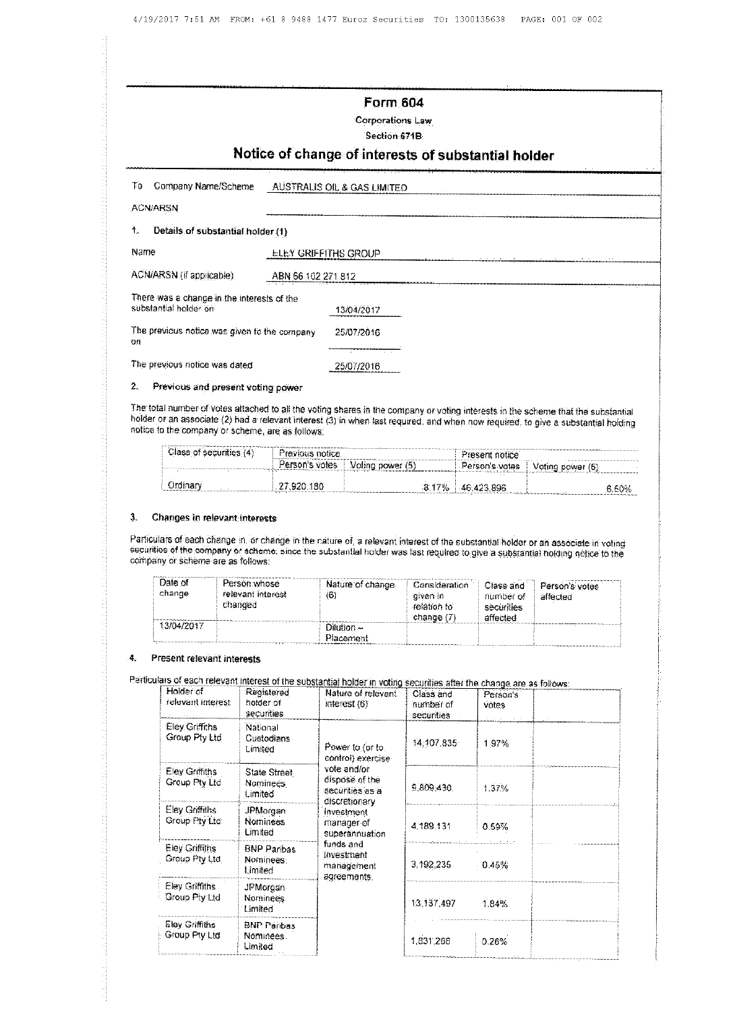|                                                                     | Form 604<br>Corporations Law<br>Section 671B<br>Notice of change of interests of substantial holder |
|---------------------------------------------------------------------|-----------------------------------------------------------------------------------------------------|
| Company Name/Scheme<br>Τo                                           | AUSTRALIS OIL & GAS LIMITED                                                                         |
| <b>ACN/ARSN</b><br>₹.<br>Details of substantial holder (1)          |                                                                                                     |
| Name                                                                | <b>ELEY GRIFFITHS GROUP</b>                                                                         |
| ACN/ARSN (if applicable)                                            | ABN 56 102 271 812                                                                                  |
| There was a change in the interests of the<br>substantial holder on | 13/04/2017                                                                                          |
| The previous notice was given to the company<br>on                  | 25/07/2016                                                                                          |
| The previous notice was dated                                       | 25/07/2016                                                                                          |

## 2. Previous and present voting power

The total number of votes attached to all the voting shares in the company or voting interests in the scheme that the substantial holder or an associate (2) had a relevant interest (3) in when last required, and when now required, to give a substantial holding notice to the company or scheme, are as follows:

| Class of securities (4) | Previous notice<br><b>Bookstraument &amp; A. A.</b> |                  | Present notice       |                  |
|-------------------------|-----------------------------------------------------|------------------|----------------------|------------------|
|                         | Person's votes                                      | Voting power (5) | Person's votes i     | Voting power (5) |
| Ordinar                 | . 920 -<br>180                                      | $\cdots$<br>17%  | $\sim$<br>46.423.896 |                  |
|                         |                                                     |                  |                      | 6.60%            |

## 3. Changes in relevant interests

Particulars of each change in, or change in the nature of, a relevant interest of the substantial holder or an associate in voting securities of the company or scheme, since the substantial holder was last required to give a substantial holding netice to the company or scheme are as follows:

| Date of<br>change | Person: whose<br>relevant interest<br>changed | Nature of change<br>(6)   | Consideration<br>given in<br>relation to<br>change (7) | Class and<br>number of<br>securities<br>affected | Person's votes<br>affected |
|-------------------|-----------------------------------------------|---------------------------|--------------------------------------------------------|--------------------------------------------------|----------------------------|
| 13/04/2017        |                                               | $Dilution -$<br>Placement |                                                        |                                                  |                            |
|                   |                                               |                           |                                                        |                                                  |                            |

## 4. Present relevant interests

Particulars of each relevant interest of the substantial holder in voting securities after the change are as follows:

| Holder of<br>relevant interest         | Registered<br>holder of<br>securities      | Nature of relevant<br>interest $(6)$                              | Class and<br>number of<br>securities | $\overline{\mathbf{a}}$ and $\overline{\mathbf{a}}$ and $\overline{\mathbf{a}}$ and $\overline{\mathbf{a}}$ and $\overline{\mathbf{a}}$ and $\overline{\mathbf{a}}$ and $\overline{\mathbf{a}}$<br>Person's<br>votes |  |
|----------------------------------------|--------------------------------------------|-------------------------------------------------------------------|--------------------------------------|----------------------------------------------------------------------------------------------------------------------------------------------------------------------------------------------------------------------|--|
| Eley Griffiths<br>Group Pty Ltd        | National<br>Custodians<br>Limited          | Power to (or to<br>control) exercise-                             | 14,107,835                           | 1.97%                                                                                                                                                                                                                |  |
| Eley Griffiths<br>Group Pty Ltd        | State Street<br><b>Nominees</b><br>Limited | vote and/or<br>dispose of the<br>securities as a<br>discretionary | 9,809,430                            | 1.37%                                                                                                                                                                                                                |  |
| Elev Griffiths<br>Group Pty Ltd        | JPMorgan<br><b>Nominees</b><br>Limited     | investment<br>manager of<br>superannuation                        | 4,189.131                            | 0.59%                                                                                                                                                                                                                |  |
| <b>Eley Griffiths</b><br>Group Pty Ltd | <b>BNP Paribas</b><br>Nominees:<br>Limited | funds and<br>investment<br>management<br>agreements.              | 3,192,235                            | 0.45%                                                                                                                                                                                                                |  |
| Eley Griffiths<br>Group Pty Ltd        | JPMorgan<br>Nominees:<br><b>Limited</b>    |                                                                   | 13.137.497                           | 1.84%                                                                                                                                                                                                                |  |
| Eley Griffiths<br>Group Pty Ltd        | BNP Peribas<br>Nominees.<br>Limited        |                                                                   | 1,831,268                            | 0.26%                                                                                                                                                                                                                |  |